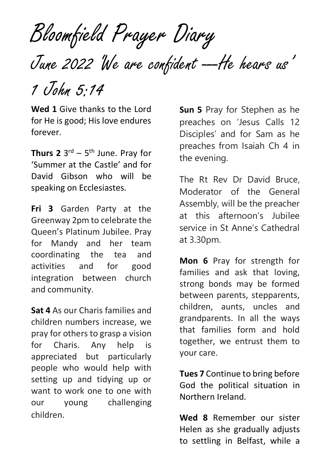Bloomfield Prayer Diary

June 2022 We are confident --- He hears us'

1 John 5:14

**Wed 1** Give thanks to the Lord for He is good; His love endures forever.

**Thurs 2** 3 rd – 5 th June. Pray for 'Summer at the Castle' and for David Gibson who will be speaking on Ecclesiastes.

**Fri 3** Garden Party at the Greenway 2pm to celebrate the Queen's Platinum Jubilee. Pray for Mandy and her team coordinating the tea and activities and for good integration between church and community.

**Sat 4** As our Charis families and children numbers increase, we pray for others to grasp a vision for Charis. Any help is appreciated but particularly people who would help with setting up and tidying up or want to work one to one with our young challenging children.

**Sun 5** Pray for Stephen as he preaches on 'Jesus Calls 12 Disciples' and for Sam as he preaches from Isaiah Ch 4 in the evening.

The Rt Rev Dr David Bruce, Moderator of the General Assembly, will be the preacher at this afternoon's Jubilee service in St Anne's Cathedral at 3.30pm.

**Mon 6** Pray for strength for families and ask that loving, strong bonds may be formed between parents, stepparents, children, aunts, uncles and grandparents. In all the ways that families form and hold together, we entrust them to your care.

**Tues 7** Continue to bring before God the political situation in Northern Ireland.

**Wed 8** Remember our sister Helen as she gradually adjusts to settling in Belfast, while a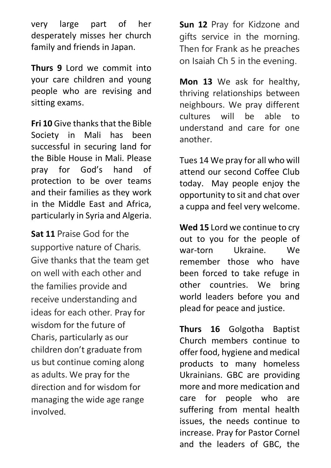very large part of her desperately misses her church family and friends in Japan.

**Thurs 9** Lord we commit into your care children and young people who are revising and sitting exams.

**Fri 10** Give thanks that the Bible Society in Mali has been successful in securing land for the Bible House in Mali. Please pray for God's hand of protection to be over teams and their families as they work in the Middle East and Africa, particularly in Syria and Algeria.

**Sat 11** Praise God for the supportive nature of Charis. Give thanks that the team get on well with each other and the families provide and receive understanding and ideas for each other. Pray for wisdom for the future of Charis, particularly as our children don't graduate from us but continue coming along as adults. We pray for the direction and for wisdom for managing the wide age range involved.

**Sun 12** Pray for Kidzone and gifts service in the morning. Then for Frank as he preaches on Isaiah Ch 5 in the evening.

**Mon 13** We ask for healthy, thriving relationships between neighbours. We pray different cultures will be able to understand and care for one another.

Tues 14 We pray for all who will attend our second Coffee Club today. May people enjoy the opportunity to sit and chat over a cuppa and feel very welcome.

**Wed 15** Lord we continue to cry out to you for the people of war-torn Ukraine We remember those who have been forced to take refuge in other countries. We bring world leaders before you and plead for peace and justice.

**Thurs 16** Golgotha Baptist Church members continue to offer food, hygiene and medical products to many homeless Ukrainians. GBC are providing more and more medication and care for people who are suffering from mental health issues, the needs continue to increase. Pray for Pastor Cornel and the leaders of GBC, the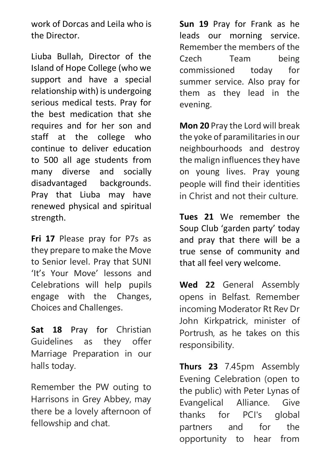work of Dorcas and Leila who is the Director.

Liuba Bullah, Director of the Island of Hope College (who we support and have a special relationship with) is undergoing serious medical tests. Pray for the best medication that she requires and for her son and staff at the college who continue to deliver education to 500 all age students from many diverse and socially disadvantaged backgrounds. Pray that Liuba may have renewed physical and spiritual strength.

**Fri 17** Please pray for P7s as they prepare to make the Move to Senior level. Pray that SUNI 'It's Your Move' lessons and Celebrations will help pupils engage with the Changes, Choices and Challenges.

**Sat 18** Pray for Christian Guidelines as they offer Marriage Preparation in our halls today.

Remember the PW outing to Harrisons in Grey Abbey, may there be a lovely afternoon of fellowship and chat.

**Sun 19** Pray for Frank as he leads our morning service. Remember the members of the Czech Team being commissioned today for summer service. Also pray for them as they lead in the evening.

**Mon 20** Pray the Lord will break the yoke of paramilitaries in our neighbourhoods and destroy the malign influences they have on young lives. Pray young people will find their identities in Christ and not their culture.

**Tues 21** We remember the Soup Club 'garden party' today and pray that there will be a true sense of community and that all feel very welcome.

**Wed 22** General Assembly opens in Belfast. Remember incoming Moderator Rt Rev Dr John Kirkpatrick, minister of Portrush, as he takes on this responsibility.

**Thurs 23** 7.45pm Assembly Evening Celebration (open to the public) with Peter Lynas of Evangelical Alliance. Give thanks for PCI's global partners and for the opportunity to hear from